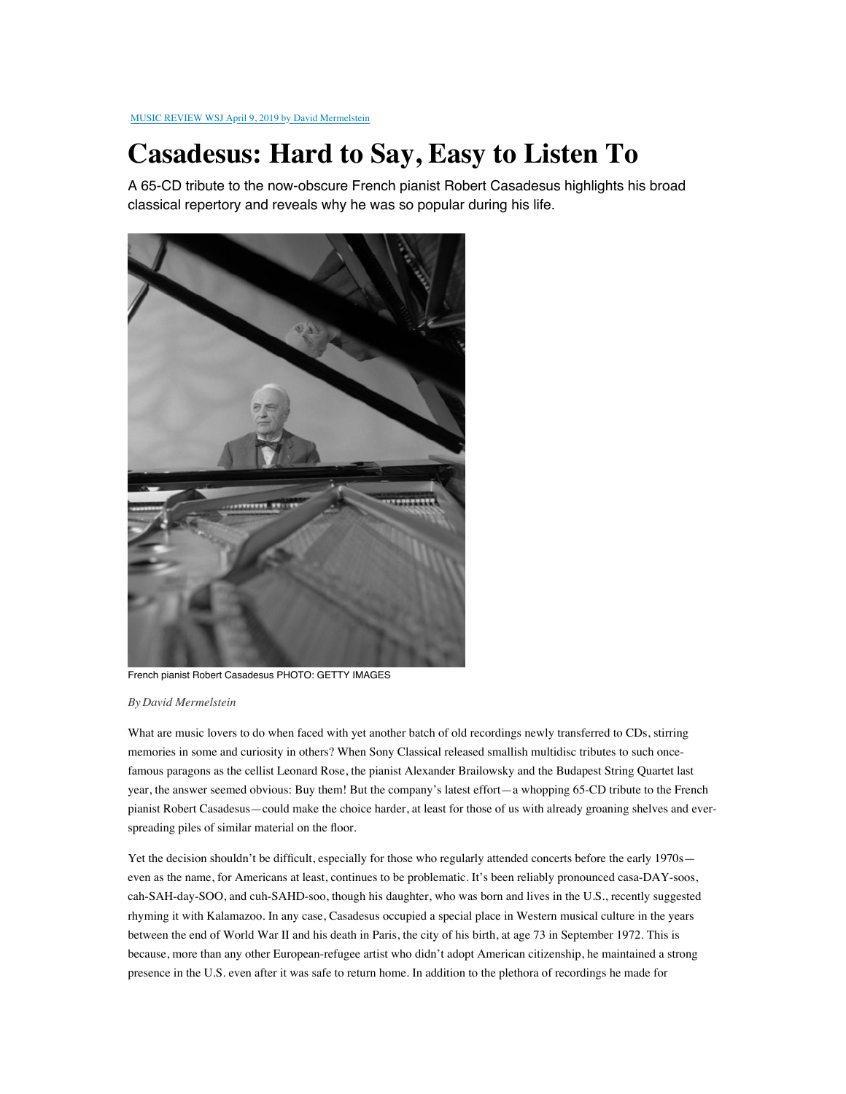## **Casadesus: Hard to Say, Easy to Listen To**

A 65-CD tribute to the now-obscure French pianist Robert Casadesus highlights his broad classical repertory and reveals why he was so popular during his life.



French pianist Robert Casadesus PHOTO: GETTY IMAGES

## *ByDavid Mermelstein*

What are music lovers to do when faced with yet another batch of old recordings newly transferred to CDs, stirring memories in some and curiosity in others? When Sony Classical released smallish multidisc tributes to such oncefamous paragons as the cellist Leonard Rose, the pianist Alexander Brailowsky and the Budapest String Quartet last year, the answer seemed obvious: Buy them! But the company's latest effort—a whopping 65-CD tribute to the French pianist Robert Casadesus—could make the choice harder, at least for those of us with already groaning shelves and everspreading piles of similar material on the floor.

Yet the decision shouldn't be difficult, especially for those who regularly attended concerts before the early 1970s even as the name, for Americans at least, continues to be problematic. It's been reliably pronounced casa-DAY-soos, cah-SAH-day-SOO, and cuh-SAHD-soo, though his daughter, who was born and lives in the U.S., recently suggested rhyming it with Kalamazoo. In any case, Casadesus occupied a special place in Western musical culture in the years between the end of World War II and his death in Paris, the city of his birth, at age 73 in September 1972. This is because, more than any other European-refugee artist who didn't adopt American citizenship, he maintained a strong presence in the U.S. even after it was safe to return home. In addition to the plethora of recordings he made for